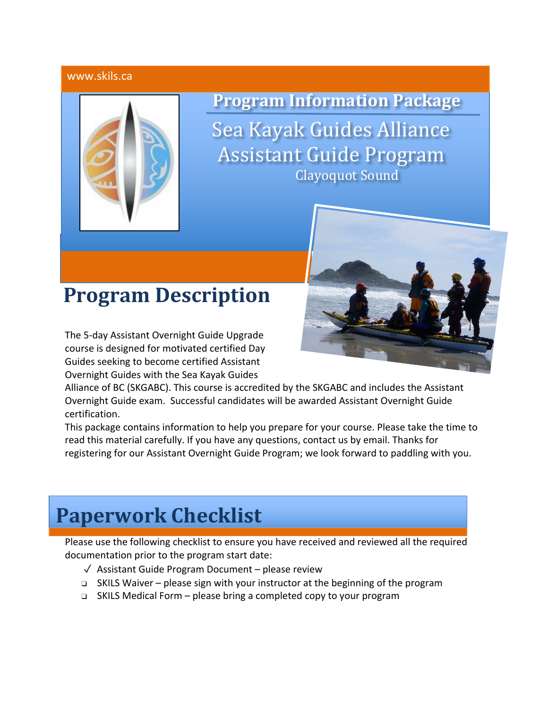#### www.skils.ca



**Program Information Package** 

Sea Kayak Guides Alliance **Assistant Guide Program** Clayoquot Sound

## **Program Description**

The 5-day Assistant Overnight Guide Upgrade course is designed for motivated certified Day Guides seeking to become certified Assistant Overnight Guides with the Sea Kayak Guides



Alliance of BC (SKGABC). This course is accredited by the SKGABC and includes the Assistant Overnight Guide exam. Successful candidates will be awarded Assistant Overnight Guide certification.

This package contains information to help you prepare for your course. Please take the time to read this material carefully. If you have any questions, contact us by email. Thanks for registering for our Assistant Overnight Guide Program; we look forward to paddling with you.

## **Paperwork Checklist**

Please use the following checklist to ensure you have received and reviewed all the required documentation prior to the program start date:

- ✓ Assistant Guide Program Document please review
- ❑ SKILS Waiver please sign with your instructor at the beginning of the program
- ❑ SKILS Medical Form please bring a completed copy to your program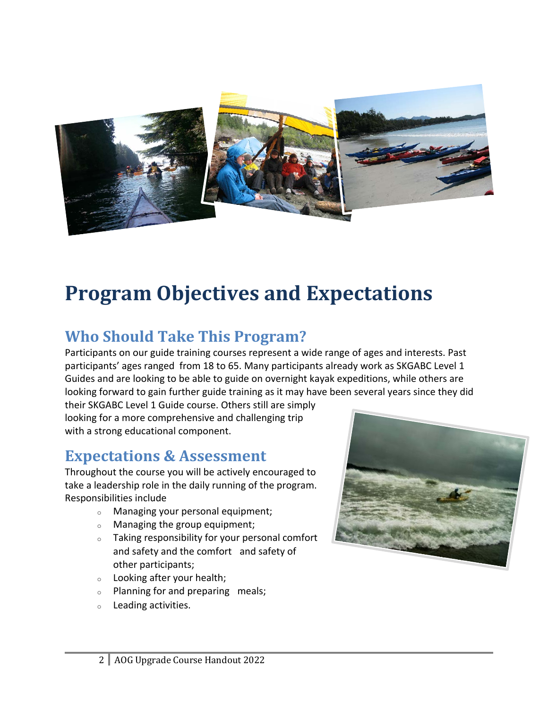

# **Program Objectives and Expectations**

### **Who Should Take This Program?**

Participants on our guide training courses represent a wide range of ages and interests. Past participants' ages ranged from 18 to 65. Many participants already work as SKGABC Level 1 Guides and are looking to be able to guide on overnight kayak expeditions, while others are looking forward to gain further guide training as it may have been several years since they did

their SKGABC Level 1 Guide course. Others still are simply looking for a more comprehensive and challenging trip with a strong educational component.

### **Expectations & Assessment**

Throughout the course you will be actively encouraged to take a leadership role in the daily running of the program. Responsibilities include

- <sup>o</sup> Managing your personal equipment;
- <sup>o</sup> Managing the group equipment;
- <sup>o</sup> Taking responsibility for your personal comfort and safety and the comfort and safety of other participants;
- <sup>o</sup> Looking after your health;
- <sup>o</sup> Planning for and preparing meals;
- <sup>o</sup> Leading activities.

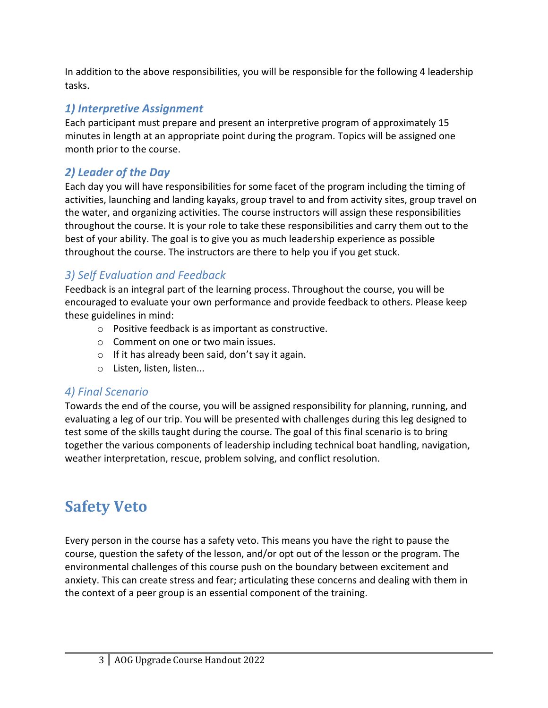In addition to the above responsibilities, you will be responsible for the following 4 leadership tasks.

### *1) Interpretive Assignment*

Each participant must prepare and present an interpretive program of approximately 15 minutes in length at an appropriate point during the program. Topics will be assigned one month prior to the course.

### *2) Leader of the Day*

Each day you will have responsibilities for some facet of the program including the timing of activities, launching and landing kayaks, group travel to and from activity sites, group travel on the water, and organizing activities. The course instructors will assign these responsibilities throughout the course. It is your role to take these responsibilities and carry them out to the best of your ability. The goal is to give you as much leadership experience as possible throughout the course. The instructors are there to help you if you get stuck.

### *3) Self Evaluation and Feedback*

Feedback is an integral part of the learning process. Throughout the course, you will be encouraged to evaluate your own performance and provide feedback to others. Please keep these guidelines in mind:

- o Positive feedback is as important as constructive.
- o Comment on one or two main issues.
- $\circ$  If it has already been said, don't say it again.
- o Listen, listen, listen...

### *4) Final Scenario*

Towards the end of the course, you will be assigned responsibility for planning, running, and evaluating a leg of our trip. You will be presented with challenges during this leg designed to test some of the skills taught during the course. The goal of this final scenario is to bring together the various components of leadership including technical boat handling, navigation, weather interpretation, rescue, problem solving, and conflict resolution.

### **Safety Veto**

Every person in the course has a safety veto. This means you have the right to pause the course, question the safety of the lesson, and/or opt out of the lesson or the program. The environmental challenges of this course push on the boundary between excitement and anxiety. This can create stress and fear; articulating these concerns and dealing with them in the context of a peer group is an essential component of the training.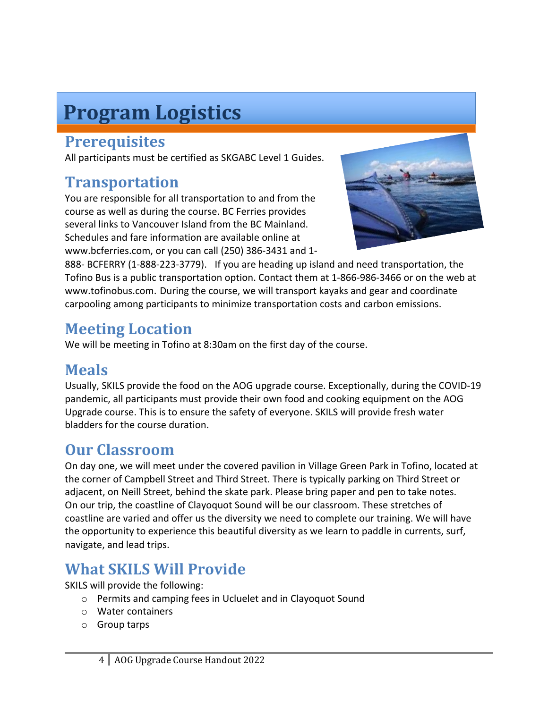# **Program Logistics**

### **Prerequisites**

All participants must be certified as SKGABC Level 1 Guides.

### **Transportation**

You are responsible for all transportation to and from the course as well as during the course. BC Ferries provides several links to Vancouver Island from the BC Mainland. Schedules and fare information are available online at www.bcferries.com, or you can call (250) 386-3431 and 1-



888- BCFERRY (1-888-223-3779). If you are heading up island and need transportation, the Tofino Bus is a public transportation option. Contact them at 1-866-986-3466 or on the web at www.tofinobus.com. During the course, we will transport kayaks and gear and coordinate carpooling among participants to minimize transportation costs and carbon emissions.

### **Meeting Location**

We will be meeting in Tofino at 8:30am on the first day of the course.

### **Meals**

Usually, SKILS provide the food on the AOG upgrade course. Exceptionally, during the COVID-19 pandemic, all participants must provide their own food and cooking equipment on the AOG Upgrade course. This is to ensure the safety of everyone. SKILS will provide fresh water bladders for the course duration.

### **Our Classroom**

On day one, we will meet under the covered pavilion in Village Green Park in Tofino, located at the corner of Campbell Street and Third Street. There is typically parking on Third Street or adjacent, on Neill Street, behind the skate park. Please bring paper and pen to take notes. On our trip, the coastline of Clayoquot Sound will be our classroom. These stretches of coastline are varied and offer us the diversity we need to complete our training. We will have the opportunity to experience this beautiful diversity as we learn to paddle in currents, surf, navigate, and lead trips.

### **What SKILS Will Provide**

SKILS will provide the following:

- o Permits and camping fees in Ucluelet and in Clayoquot Sound
- o Water containers
- o Group tarps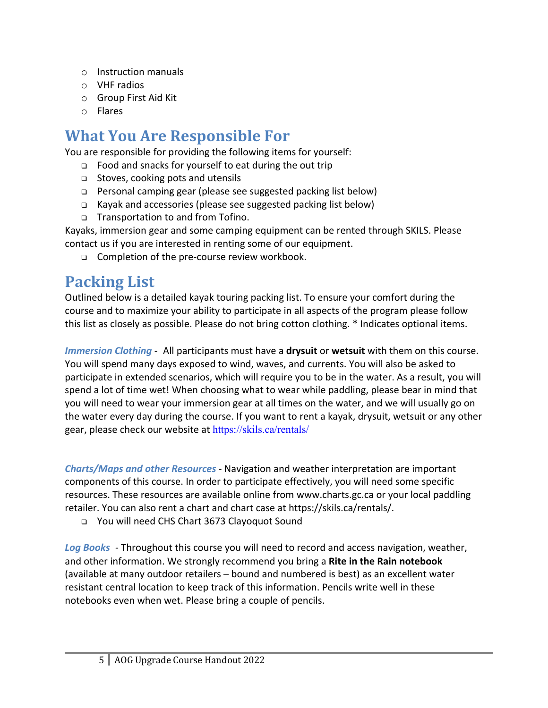- o Instruction manuals
- o VHF radios
- o Group First Aid Kit
- o Flares

### **What You Are Responsible For**

You are responsible for providing the following items for yourself:

- ❑ Food and snacks for yourself to eat during the out trip
- ❑ Stoves, cooking pots and utensils
- ❑ Personal camping gear (please see suggested packing list below)
- ❑ Kayak and accessories (please see suggested packing list below)
- ❑ Transportation to and from Tofino.

Kayaks, immersion gear and some camping equipment can be rented through SKILS. Please contact us if you are interested in renting some of our equipment.

❑ Completion of the pre-course review workbook.

### **Packing List**

Outlined below is a detailed kayak touring packing list. To ensure your comfort during the course and to maximize your ability to participate in all aspects of the program please follow this list as closely as possible. Please do not bring cotton clothing. \* Indicates optional items.

*Immersion Clothing* - All participants must have a **drysuit** or **wetsuit** with them on this course. You will spend many days exposed to wind, waves, and currents. You will also be asked to participate in extended scenarios, which will require you to be in the water. As a result, you will spend a lot of time wet! When choosing what to wear while paddling, please bear in mind that you will need to wear your immersion gear at all times on the water, and we will usually go on the water every day during the course. If you want to rent a kayak, drysuit, wetsuit or any other gear, please check our website at https://skils.ca/rentals/

*Charts/Maps and other Resources* - Navigation and weather interpretation are important components of this course. In order to participate effectively, you will need some specific resources. These resources are available online from www.charts.gc.ca or your local paddling retailer. You can also rent a chart and chart case at https://skils.ca/rentals/.

❑ You will need CHS Chart 3673 Clayoquot Sound

*Log Books* - Throughout this course you will need to record and access navigation, weather, and other information. We strongly recommend you bring a **Rite in the Rain notebook** (available at many outdoor retailers – bound and numbered is best) as an excellent water resistant central location to keep track of this information. Pencils write well in these notebooks even when wet. Please bring a couple of pencils.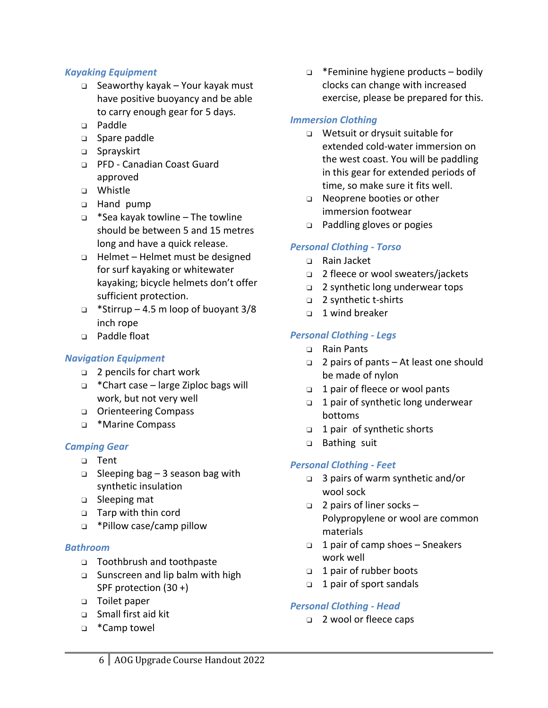#### *Kayaking Equipment*

- ❑ Seaworthy kayak Your kayak must have positive buoyancy and be able to carry enough gear for 5 days.
- ❑ Paddle
- ❑ Spare paddle
- ❑ Sprayskirt
- ❑ PFD Canadian Coast Guard approved
- ❑ Whistle
- ❑ Hand pump
- ❑ \*Sea kayak towline The towline should be between 5 and 15 metres long and have a quick release.
- ❑ Helmet Helmet must be designed for surf kayaking or whitewater kayaking; bicycle helmets don't offer sufficient protection.
- ❑ \*Stirrup 4.5 m loop of buoyant 3/8 inch rope
- ❑ Paddle float

#### *Navigation Equipment*

- ❑ 2 pencils for chart work
- ❑ \*Chart case large Ziploc bags will work, but not very well
- ❑ Orienteering Compass
- ❑ \*Marine Compass

#### *Camping Gear*

- ❑ Tent
- ❑ Sleeping bag 3 season bag with synthetic insulation
- ❑ Sleeping mat
- ❑ Tarp with thin cord
- ❑ \*Pillow case/camp pillow

#### *Bathroom*

- ❑ Toothbrush and toothpaste
- ❑ Sunscreen and lip balm with high SPF protection (30 +)
- ❑ Toilet paper
- ❑ Small first aid kit
- ❑ \*Camp towel

❑ \*Feminine hygiene products – bodily clocks can change with increased exercise, please be prepared for this.

#### *Immersion Clothing*

- ❑ Wetsuit or drysuit suitable for extended cold-water immersion on the west coast. You will be paddling in this gear for extended periods of time, so make sure it fits well.
- ❑ Neoprene booties or other immersion footwear
- ❑ Paddling gloves or pogies

#### *Personal Clothing - Torso*

- ❑ Rain Jacket
- ❑ 2 fleece or wool sweaters/jackets
- ❑ 2 synthetic long underwear tops
- ❑ 2 synthetic t-shirts
- ❑ 1 wind breaker

#### *Personal Clothing - Legs*

- ❑ Rain Pants
- ❑ 2 pairs of pants At least one should be made of nylon
- ❑ 1 pair of fleece or wool pants
- ❑ 1 pair of synthetic long underwear bottoms
- ❑ 1 pair of synthetic shorts
- ❑ Bathing suit

#### *Personal Clothing - Feet*

- ❑ 3 pairs of warm synthetic and/or wool sock
- ❑ 2 pairs of liner socks Polypropylene or wool are common materials
- ❑ 1 pair of camp shoes Sneakers work well
- ❑ 1 pair of rubber boots
- ❑ 1 pair of sport sandals

#### *Personal Clothing - Head*

❑ 2 wool or fleece caps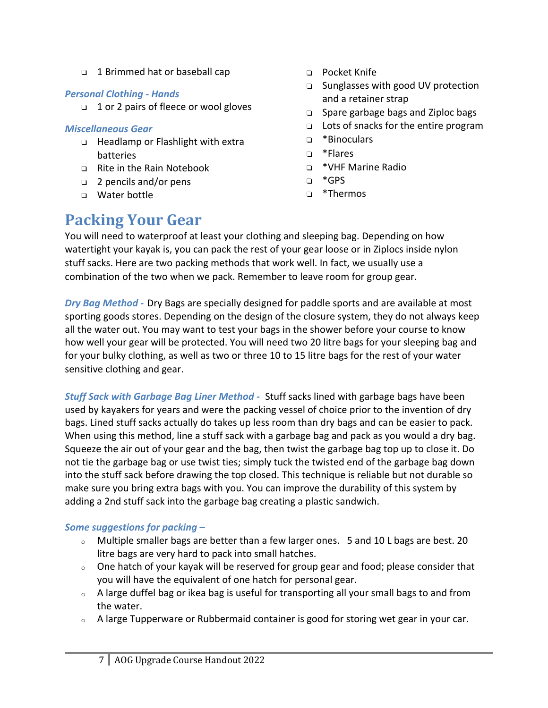❑ 1 Brimmed hat or baseball cap

#### *Personal Clothing - Hands*

❑ 1 or 2 pairs of fleece or wool gloves

#### *Miscellaneous Gear*

- ❑ Headlamp or Flashlight with extra batteries
- ❑ Rite in the Rain Notebook
- ❑ 2 pencils and/or pens
- ❑ Water bottle
- ❑ Pocket Knife
- ❑ Sunglasses with good UV protection and a retainer strap
- ❑ Spare garbage bags and Ziploc bags
- ❑ Lots of snacks for the entire program
- ❑ \*Binoculars
- ❑ \*Flares
- ❑ \*VHF Marine Radio
- ❑ \*GPS
- ❑ \*Thermos

### **Packing Your Gear**

You will need to waterproof at least your clothing and sleeping bag. Depending on how watertight your kayak is, you can pack the rest of your gear loose or in Ziplocs inside nylon stuff sacks. Here are two packing methods that work well. In fact, we usually use a combination of the two when we pack. Remember to leave room for group gear.

*Dry Bag Method -* Dry Bags are specially designed for paddle sports and are available at most sporting goods stores. Depending on the design of the closure system, they do not always keep all the water out. You may want to test your bags in the shower before your course to know how well your gear will be protected. You will need two 20 litre bags for your sleeping bag and for your bulky clothing, as well as two or three 10 to 15 litre bags for the rest of your water sensitive clothing and gear.

*Stuff Sack with Garbage Bag Liner Method -* Stuff sacks lined with garbage bags have been used by kayakers for years and were the packing vessel of choice prior to the invention of dry bags. Lined stuff sacks actually do takes up less room than dry bags and can be easier to pack. When using this method, line a stuff sack with a garbage bag and pack as you would a dry bag. Squeeze the air out of your gear and the bag, then twist the garbage bag top up to close it. Do not tie the garbage bag or use twist ties; simply tuck the twisted end of the garbage bag down into the stuff sack before drawing the top closed. This technique is reliable but not durable so make sure you bring extra bags with you. You can improve the durability of this system by adding a 2nd stuff sack into the garbage bag creating a plastic sandwich.

#### *Some suggestions for packing –*

- <sup>o</sup> Multiple smaller bags are better than a few larger ones. 5 and 10 L bags are best. 20 litre bags are very hard to pack into small hatches.
- $\circ$  One hatch of your kayak will be reserved for group gear and food; please consider that you will have the equivalent of one hatch for personal gear.
- $\circ$  A large duffel bag or ikea bag is useful for transporting all your small bags to and from the water.
- <sup>o</sup> A large Tupperware or Rubbermaid container is good for storing wet gear in your car.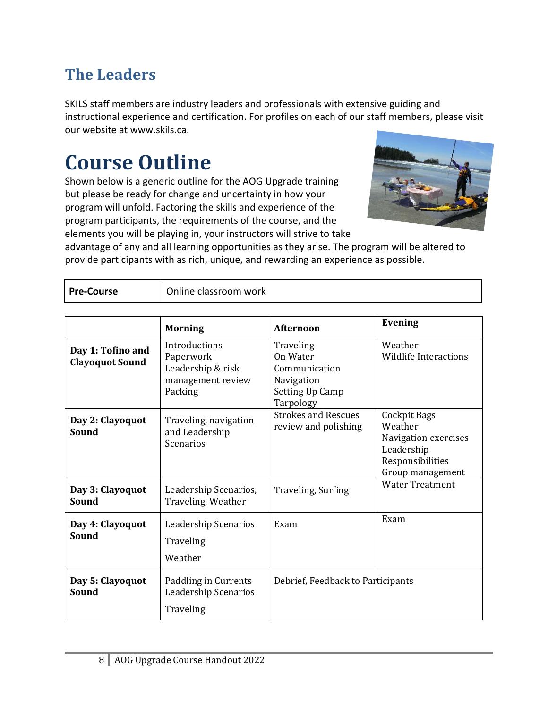### **The Leaders**

SKILS staff members are industry leaders and professionals with extensive guiding and instructional experience and certification. For profiles on each of our staff members, please visit our website at www.skils.ca.

# **Course Outline**

Shown below is a generic outline for the AOG Upgrade training but please be ready for change and uncertainty in how your program will unfold. Factoring the skills and experience of the program participants, the requirements of the course, and the elements you will be playing in, your instructors will strive to take



advantage of any and all learning opportunities as they arise. The program will be altered to provide participants with as rich, unique, and rewarding an experience as possible.

| Online classroom work<br><b>Pre-Course</b> |
|--------------------------------------------|
|--------------------------------------------|

|                                             | <b>Morning</b>                                                                  | <b>Afternoon</b>                                                                     | <b>Evening</b>                                                                                        |
|---------------------------------------------|---------------------------------------------------------------------------------|--------------------------------------------------------------------------------------|-------------------------------------------------------------------------------------------------------|
| Day 1: Tofino and<br><b>Clayoquot Sound</b> | Introductions<br>Paperwork<br>Leadership & risk<br>management review<br>Packing | Traveling<br>On Water<br>Communication<br>Navigation<br>Setting Up Camp<br>Tarpology | Weather<br><b>Wildlife Interactions</b>                                                               |
| Day 2: Clayoquot<br>Sound                   | Traveling, navigation<br>and Leadership<br><b>Scenarios</b>                     | <b>Strokes and Rescues</b><br>review and polishing                                   | Cockpit Bags<br>Weather<br>Navigation exercises<br>Leadership<br>Responsibilities<br>Group management |
| Day 3: Clayoquot<br>Sound                   | Leadership Scenarios,<br>Traveling, Weather                                     | Traveling, Surfing                                                                   | <b>Water Treatment</b>                                                                                |
| Day 4: Clayoquot<br>Sound                   | Leadership Scenarios<br>Traveling<br>Weather                                    | Exam                                                                                 | Exam                                                                                                  |
| Day 5: Clayoquot<br>Sound                   | Paddling in Currents<br>Leadership Scenarios<br>Traveling                       | Debrief, Feedback to Participants                                                    |                                                                                                       |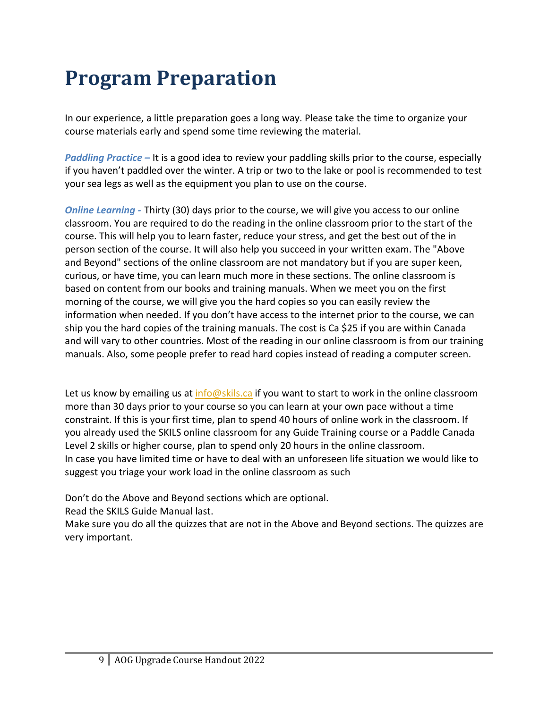# **Program Preparation**

In our experience, a little preparation goes a long way. Please take the time to organize your course materials early and spend some time reviewing the material.

*Paddling Practice –* It is a good idea to review your paddling skills prior to the course, especially if you haven't paddled over the winter. A trip or two to the lake or pool is recommended to test your sea legs as well as the equipment you plan to use on the course.

*Online Learning -* Thirty (30) days prior to the course, we will give you access to our online classroom. You are required to do the reading in the online classroom prior to the start of the course. This will help you to learn faster, reduce your stress, and get the best out of the in person section of the course. It will also help you succeed in your written exam. The "Above and Beyond" sections of the online classroom are not mandatory but if you are super keen, curious, or have time, you can learn much more in these sections. The online classroom is based on content from our books and training manuals. When we meet you on the first morning of the course, we will give you the hard copies so you can easily review the information when needed. If you don't have access to the internet prior to the course, we can ship you the hard copies of the training manuals. The cost is Ca \$25 if you are within Canada and will vary to other countries. Most of the reading in our online classroom is from our training manuals. Also, some people prefer to read hard copies instead of reading a computer screen.

Let us know by emailing us at info@skils.ca if you want to start to work in the online classroom more than 30 days prior to your course so you can learn at your own pace without a time constraint. If this is your first time, plan to spend 40 hours of online work in the classroom. If you already used the SKILS online classroom for any Guide Training course or a Paddle Canada Level 2 skills or higher course, plan to spend only 20 hours in the online classroom. In case you have limited time or have to deal with an unforeseen life situation we would like to suggest you triage your work load in the online classroom as such

Don't do the Above and Beyond sections which are optional.

Read the SKILS Guide Manual last.

Make sure you do all the quizzes that are not in the Above and Beyond sections. The quizzes are very important.